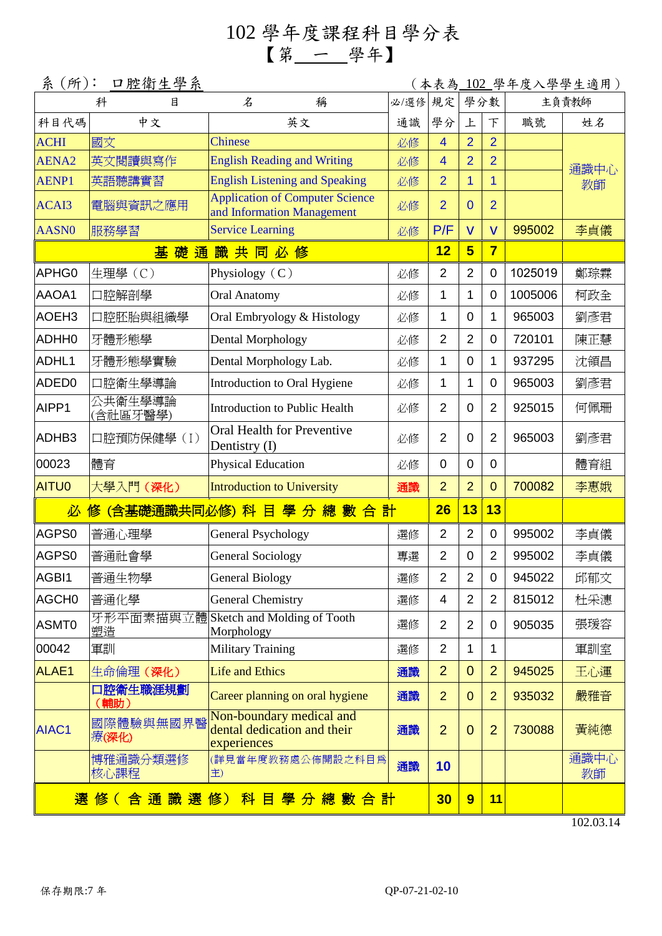## 102 學年度課程科目學分表 【第 一 學年】

| 系 (所):<br>口腔衛生學系                 |                     |                                                                        |      |                |                         |                         |         | (本表為 <u>-102 </u> 學年度入學學生適用) |  |
|----------------------------------|---------------------|------------------------------------------------------------------------|------|----------------|-------------------------|-------------------------|---------|------------------------------|--|
|                                  | 科<br>目              | 名<br>稱                                                                 | 必/選修 | 規定             | 學分數                     |                         | 主負責教師   |                              |  |
| 科目代碼                             | 中文                  | 英文                                                                     | 通識   | 學分             | 上                       | 下                       | 職號      | 姓名                           |  |
| <b>ACHI</b>                      | 國文                  | <b>Chinese</b>                                                         | 必修   | $\overline{4}$ | $\overline{2}$          | $\overline{2}$          |         |                              |  |
| AENA <sub>2</sub>                | 英文閱讀與寫作             | <b>English Reading and Writing</b>                                     | 必修   | $\overline{4}$ | $\overline{2}$          | $\overline{2}$          |         | 通識中心                         |  |
| <b>AENP1</b>                     | 英語聽講實習              | <b>English Listening and Speaking</b>                                  | 必修   | $\overline{2}$ | 1                       | $\overline{1}$          |         | 教師                           |  |
| ACAI3                            | 電腦與資訊之應用            | <b>Application of Computer Science</b><br>and Information Management   | 必修   | $\overline{2}$ | $\overline{0}$          | $\overline{2}$          |         |                              |  |
| <b>AASN0</b>                     | 服務學習                | <b>Service Learning</b>                                                | 必修   | P/F            | $\overline{\mathsf{V}}$ | $\overline{\mathsf{V}}$ | 995002  | 李貞儀                          |  |
|                                  | 基礎通                 | 識共同必修                                                                  |      | 12             | 5                       | $\overline{7}$          |         |                              |  |
| APHG0                            | 生理學(C)              | Physiology $(C)$                                                       | 必修   | $\overline{2}$ | $\overline{2}$          | $\mathbf 0$             | 1025019 | 鄭琮霖                          |  |
| AAOA1                            | 口腔解剖學               | <b>Oral Anatomy</b>                                                    | 必修   | 1              | 1                       | $\mathbf 0$             | 1005006 | 柯政全                          |  |
| AOEH <sub>3</sub>                | 口腔胚胎與組織學            | Oral Embryology & Histology                                            | 必修   | 1              | $\overline{0}$          | 1                       | 965003  | 劉彥君                          |  |
| <b>ADHH0</b>                     | 牙體形態學               | <b>Dental Morphology</b>                                               | 必修   | $\overline{2}$ | $\overline{2}$          | $\mathbf 0$             | 720101  | 陳正慧                          |  |
| ADHL1                            | 牙體形態學實驗             | Dental Morphology Lab.                                                 | 必修   | 1              | $\overline{0}$          | $\mathbf{1}$            | 937295  | 沈領昌                          |  |
| ADED <sub>0</sub>                | 口腔衛生學導論             | Introduction to Oral Hygiene                                           | 必修   | 1              | 1                       | $\overline{0}$          | 965003  | 劉彥君                          |  |
| AIPP1                            | 公共衛生學導論<br>(含社區牙醫學) | Introduction to Public Health                                          | 必修   | $\overline{2}$ | $\overline{0}$          | $\overline{2}$          | 925015  | 何佩珊                          |  |
| ADHB3                            | 口腔預防保健學(I)          | Oral Health for Preventive<br>Dentistry (I)                            | 必修   | $\overline{2}$ | 0                       | $\overline{2}$          | 965003  | 劉彥君                          |  |
| 00023                            | 體育                  | Physical Education                                                     | 必修   | $\overline{0}$ | $\mathbf 0$             | $\mathbf 0$             |         | 體育組                          |  |
| <b>AITU0</b>                     | 大學入門 (深化)           | <b>Introduction to University</b>                                      | 通識   | $\overline{2}$ | $\overline{2}$          | $\mathbf{0}$            | 700082  | 李惠娥                          |  |
|                                  |                     | 必 修 (含基礎通識共同必修) 科 目 學 分 總 數 合 計                                        |      | 26             | 13                      | 13                      |         |                              |  |
| AGPS0                            | 普通心理學               | <b>General Psychology</b>                                              | 選修   | $\overline{2}$ | $\overline{2}$          | $\mathbf 0$             | 995002  | 李貞儀                          |  |
| AGPS0                            | 普通社會學               | <b>General Sociology</b>                                               | 專選   | $\overline{2}$ | $\overline{0}$          | $\overline{2}$          | 995002  | 李貞儀                          |  |
| AGBI1                            | 普通生物學               | <b>General Biology</b>                                                 | 選修   | $\overline{2}$ | $\overline{2}$          | $\mathbf 0$             | 945022  | 邱郁文                          |  |
| AGCH <sub>0</sub>                | 普通化學                | General Chemistry                                                      | 選修   | 4              | 2                       | $\overline{2}$          | 815012  | 杜采潓                          |  |
| ASMT0                            | 塑造                  | 牙形平面素描與立體 Sketch and Molding of Tooth<br>Morphology                    | 選修   | $\overline{2}$ | $\overline{2}$          | 0                       | 905035  | 張瑗容                          |  |
| 00042                            | 軍訓                  | <b>Military Training</b>                                               | 選修   | $\overline{2}$ | 1                       | 1                       |         | 軍訓室                          |  |
| ALAE1                            | 生命倫理 (深化)           | <b>Life and Ethics</b>                                                 | 通識   | $\overline{2}$ | $\Omega$                | $\overline{2}$          | 945025  | 王心運                          |  |
|                                  | 口腔衛生職涯規劃<br>(輔助)    | Career planning on oral hygiene                                        | 通識   | $\overline{2}$ | $\overline{0}$          | $\overline{2}$          | 935032  | 嚴雅音                          |  |
| AIAC1                            | 國際體驗與無國界醫<br>療(深化)  | Non-boundary medical and<br>dental dedication and their<br>experiences | 通識   | $\overline{2}$ | $\Omega$                | $\overline{2}$          | 730088  | 黃純德                          |  |
|                                  | 博雅通識分類選修<br>核心課程    | (詳見當年度教務處公佈開設之科目爲<br>主)                                                | 通識   | 10             |                         |                         |         | 通識中心<br>教師                   |  |
| 選 修 ( 含 通 識 選 修) 科 目 學 分 總 數 合 計 |                     |                                                                        |      |                | 9                       | 11                      |         |                              |  |

102.03.14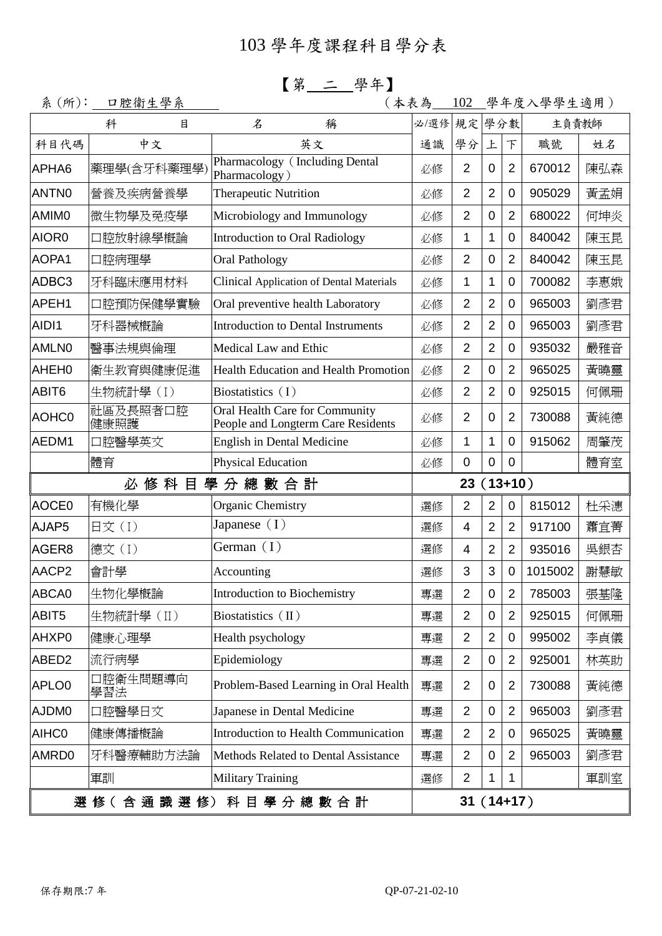【第 二 學年】

| 系(所):             | 口腔衛生學系           | (本表為                                                                 |                 | 102            |                |                | 學年度入學學生適用) |     |
|-------------------|------------------|----------------------------------------------------------------------|-----------------|----------------|----------------|----------------|------------|-----|
| 科<br>目            |                  | 名<br>稱                                                               | 必/選修            | 規定學分數          |                |                | 主負責教師      |     |
| 科目代碼              | 中文               | 英文                                                                   | 通識              | 學分             | 上              | 下              | 職號         | 姓名  |
| APHA6             | 藥理學(含牙科藥理學)      | Pharmacology (Including Dental<br>Pharmacology)                      | 必修              | $\overline{2}$ | $\mathbf 0$    | $\overline{2}$ | 670012     | 陳弘森 |
| ANTN0             | 營養及疾病營養學         | <b>Therapeutic Nutrition</b>                                         | 必修              | $\overline{2}$ | 2              | 0              | 905029     | 黃孟娟 |
| AMIM0             | 微生物學及免疫學         | Microbiology and Immunology                                          | 必修              | $\overline{2}$ | $\mathbf 0$    | $\overline{2}$ | 680022     | 何坤炎 |
| AIOR0             | 口腔放射線學概論         | <b>Introduction to Oral Radiology</b>                                | 必修              | 1              | 1              | $\overline{0}$ | 840042     | 陳玉昆 |
| AOPA1             | 口腔病理學            | <b>Oral Pathology</b>                                                | 必修              | $\overline{2}$ | 0              | $\overline{2}$ | 840042     | 陳玉昆 |
| ADBC3             | 牙科臨床應用材料         | <b>Clinical Application of Dental Materials</b>                      | 必修              | 1              | 1              | $\mathbf 0$    | 700082     | 李惠娥 |
| APEH1             | 口腔預防保健學實驗        | Oral preventive health Laboratory                                    | 必修              | $\overline{2}$ | $\overline{2}$ | $\overline{0}$ | 965003     | 劉彥君 |
| AIDI1             | 牙科器械概論           | <b>Introduction to Dental Instruments</b>                            | 必修              | $\overline{2}$ | $\overline{2}$ | 0              | 965003     | 劉彥君 |
| <b>AMLN0</b>      | 醫事法規與倫理          | Medical Law and Ethic                                                | 必修              | $\overline{2}$ | $\overline{2}$ | 0              | 935032     | 嚴雅音 |
| AHEH0             | 衛生教育與健康促進        | <b>Health Education and Health Promotion</b>                         | 必修              | $\overline{2}$ | $\overline{0}$ | $\overline{2}$ | 965025     | 黃曉靈 |
| ABIT6             | 生物統計學(I)         | Biostatistics $(1)$                                                  | 必修              | $\overline{2}$ | $\overline{2}$ | 0              | 925015     | 何佩珊 |
| AOHC0             | 社區及長照者口腔<br>健康照護 | Oral Health Care for Community<br>People and Longterm Care Residents | 必修              | $\overline{2}$ | $\mathbf 0$    | $\overline{2}$ | 730088     | 黃純德 |
| AEDM1             | 口腔醫學英文           | <b>English in Dental Medicine</b>                                    | 必修              | 1              | 1              | 0              | 915062     | 周肇茂 |
|                   | 體育               | Physical Education                                                   | 必修              | $\mathbf 0$    | $\mathbf 0$    | $\overline{0}$ |            | 體育室 |
|                   | 必修科目             | 學分總數合計                                                               | $(13+10)$<br>23 |                |                |                |            |     |
| AOCE0             | 有機化學             | Organic Chemistry                                                    | 選修              | $\overline{2}$ | $\overline{2}$ | $\overline{0}$ | 815012     | 杜采潓 |
| AJAP5             | 日文(I)            | Japanese $(1)$                                                       | 選修              | 4              | $\overline{2}$ | $\overline{2}$ | 917100     | 蕭宜菁 |
| AGER8             | 德文(I)            | German $(I)$                                                         | 選修              | 4              | $\overline{2}$ | $\overline{2}$ | 935016     | 吳銀杏 |
| AACP2             | 會計學              | Accounting                                                           | 選修              | 3              | 3              | $\overline{0}$ | 1015002    | 謝慧敏 |
| ABCA0             | 生物化學概論           | Introduction to Biochemistry                                         | 專選              | $\overline{2}$ | $\pmb{0}$      | $\overline{2}$ | 785003     | 張基隆 |
| ABIT5             | 生物統計學(II)        | Biostatistics (II)                                                   | 專選              | $\overline{2}$ | 0              | $\overline{2}$ | 925015     | 何佩珊 |
| AHXP0             | 健康心理學            | Health psychology                                                    | 專選              | $\overline{2}$ | $\overline{2}$ | 0              | 995002     | 李貞儀 |
|                   |                  | Epidemiology                                                         | 專選              | $\overline{2}$ | 0              | $\overline{2}$ | 925001     | 林英助 |
| ABED <sub>2</sub> | 流行病學             |                                                                      |                 |                |                |                |            |     |
| APLO <sub>0</sub> | 口腔衛生問題導向<br>學習法  | Problem-Based Learning in Oral Health                                | 專選              | $\overline{2}$ | 0              | $\overline{2}$ | 730088     | 黃純德 |
| AJDM0             | 口腔醫學日文           | Japanese in Dental Medicine                                          | 專選              | $\overline{2}$ | $\mathbf 0$    | $\overline{2}$ | 965003     | 劉彥君 |
| AIHC0             | 健康傳播概論           | Introduction to Health Communication                                 | 專選              | $\overline{2}$ | $\overline{2}$ | 0              | 965025     | 黃曉靈 |
| AMRD0             | 牙科醫療輔助方法論        | Methods Related to Dental Assistance                                 | 專選              | $\overline{2}$ | $\mathbf 0$    | 2              | 965003     | 劉彥君 |
|                   | 軍訓               | <b>Military Training</b>                                             | 選修              | $\overline{2}$ | 1              | 1              |            | 軍訓室 |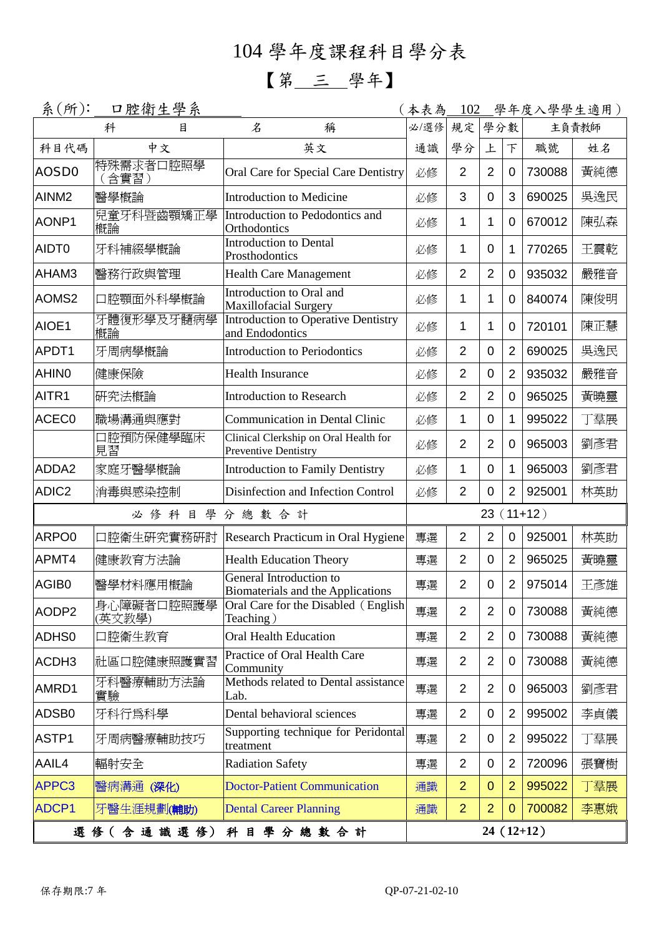## 104 學年度課程科目學分表

## 【第 三 學年】

| 系(所):             | 口腔衛生學系               |                                                               | (本表為        |                |                |                | <u>102 學年度入學學生適用)</u> |       |
|-------------------|----------------------|---------------------------------------------------------------|-------------|----------------|----------------|----------------|-----------------------|-------|
|                   | 科<br>目               | $\mathcal{Z}$<br>稱                                            | 必/選修        | 規定             | 學分數            |                |                       | 主負責教師 |
| 科目代碼              | 中文                   | 英文                                                            | 通識          | 學分             | 上              | F              | 職號                    | 姓名    |
| AOSD <sub>0</sub> | 特殊需求者口腔照學<br>「含實習)   | Oral Care for Special Care Dentistry                          | 必修          | $\overline{2}$ | $\overline{2}$ | $\mathbf 0$    | 730088                | 黃純德   |
| AINM <sub>2</sub> | 醫學概論                 | <b>Introduction to Medicine</b>                               | 必修          | 3              | 0              | 3              | 690025                | 吳逸民   |
| AONP1             | 兒童牙科暨齒顎矯正學<br>概論     | Introduction to Pedodontics and<br>Orthodontics               | 必修          | 1              | 1              | 0              | 670012                | 陳弘森   |
| AIDT0             | 牙科補綴學概論              | <b>Introduction to Dental</b><br>Prosthodontics               | 必修          | 1              | 0              | 1              | 770265                | 王震乾   |
| AHAM3             | 醫務行政與管理              | <b>Health Care Management</b>                                 | 必修          | $\overline{2}$ | $\overline{2}$ | $\mathbf 0$    | 935032                | 嚴雅音   |
| AOMS <sub>2</sub> | 口腔顎面外科學概論            | Introduction to Oral and<br><b>Maxillofacial Surgery</b>      | 必修          | 1              | 1              | 0              | 840074                | 陳俊明   |
| AIOE1             | 牙體復形學及牙髓病學<br>槪論     | <b>Introduction to Operative Dentistry</b><br>and Endodontics | 必修          | 1              | 1              | 0              | 720101                | 陳正慧   |
| APDT1             | 牙周病學概論               | <b>Introduction to Periodontics</b>                           | 必修          | $\overline{2}$ | 0              | $\overline{2}$ | 690025                | 吳逸民   |
| <b>AHINO</b>      | 健康保險                 | <b>Health Insurance</b>                                       | 必修          | $\overline{2}$ | 0              | $\overline{2}$ | 935032                | 嚴雅音   |
| AITR <sub>1</sub> | 硏究法概論                | <b>Introduction to Research</b>                               | 必修          | $\overline{2}$ | $\overline{2}$ | 0              | 965025                | 黃曉靈   |
| ACEC <sub>0</sub> | 職場溝通與應對              | <b>Communication in Dental Clinic</b>                         | 必修          | 1              | $\overline{0}$ | 1              | 995022                | 丁羣展   |
|                   | 口腔預防保健學臨床<br>見習      | Clinical Clerkship on Oral Health for<br>Preventive Dentistry | 必修          | $\overline{2}$ | $\overline{2}$ | $\mathbf 0$    | 965003                | 劉彥君   |
| ADDA2             | 家庭牙醫學概論              | <b>Introduction to Family Dentistry</b>                       | 必修          | 1              | 0              | 1              | 965003                | 劉彥君   |
| ADIC <sub>2</sub> | 消毒與感染控制              | Disinfection and Infection Control                            | 必修          | $\overline{2}$ | $\overline{0}$ | $\overline{2}$ | 925001                | 林英助   |
|                   | 必修<br>學<br>科<br>目    | 分總數合計                                                         | $23(11+12)$ |                |                |                |                       |       |
| ARPO0             | 口腔衛生研究實務研討           | Research Practicum in Oral Hygiene                            | 專選          | $\overline{2}$ | $\overline{2}$ | $\mathbf 0$    | 925001                | 林英助   |
| APMT4             | 健康教育方法論              | <b>Health Education Theory</b>                                | 專選          | $\overline{2}$ | 0              | $\overline{2}$ | 965025                | 黃曉靈   |
| AGIB <sub>0</sub> | 醫學材料應用概論             | General Introduction to<br>Biomaterials and the Applications  | 專選          | $\overline{2}$ | $\overline{0}$ | $\overline{2}$ | 975014                | 王彥雄   |
| AODP <sub>2</sub> | 身心障礙者口腔照護學<br>(英文教學) | Oral Care for the Disabled (English<br>Teaching)              | 專選          | $\overline{2}$ | $\overline{2}$ | $\mathbf 0$    | 730088                | 黃純德   |
| ADHS0             | 口腔衛生教育               | Oral Health Education                                         | 專選          | $\overline{2}$ | $\overline{2}$ | 0              | 730088                | 黃純德   |
| ACDH3             | 社區口腔健康照護實習           | Practice of Oral Health Care<br>Community                     | 專選          | $\overline{2}$ | $\overline{2}$ | 0              | 730088                | 黃純德   |
| AMRD1             | 牙科醫療輔助方法論<br>實驗      | Methods related to Dental assistance<br>Lab.                  | 專選          | $\overline{2}$ | $\overline{2}$ | 0              | 965003                | 劉彥君   |
| ADSB0             | 牙科行爲科學               | Dental behavioral sciences                                    | 專選          | $\overline{2}$ | 0              | $\overline{2}$ | 995002                | 李貞儀   |
| ASTP1             | 牙周病醫療輔助技巧            | Supporting technique for Peridontal<br>treatment              | 專選          | $\overline{2}$ | 0              | $\overline{2}$ | 995022                | 丁羣展   |
| AAIL4             | 輻射安全                 | <b>Radiation Safety</b>                                       | 專選          | $\overline{2}$ | $\mathbf 0$    | $\overline{2}$ | 720096                | 張寶樹   |
| APPC3             | 醫病溝通 (深化)            | <b>Doctor-Patient Communication</b>                           | 通識          | $\overline{2}$ | $\mathbf{0}$   | $\overline{2}$ | 995022                | 丁羣展   |
| ADCP1             | 牙醫生涯規劃(輔助)           | <b>Dental Career Planning</b>                                 | 通識          | $\overline{2}$ | $\overline{2}$ | $\mathbf{0}$   | 700082                | 李惠娥   |
|                   | 選 修 (含 通 識 選 修)      | 學分總數合計<br>科目                                                  |             |                |                |                | $24(12+12)$           |       |